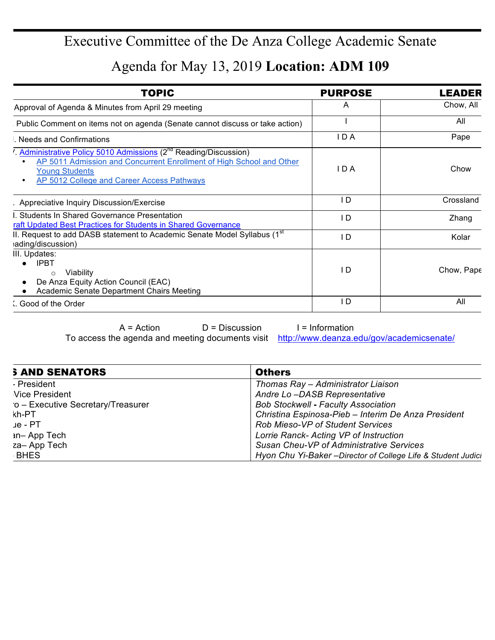## Executive Committee of the De Anza College Academic Senate

Agenda for May 13, 2019 **Location: ADM 109**

| <b>TOPIC</b>                                                                                                                                                                                                                           | <b>PURPOSE</b> | LEADER     |
|----------------------------------------------------------------------------------------------------------------------------------------------------------------------------------------------------------------------------------------|----------------|------------|
| Approval of Agenda & Minutes from April 29 meeting                                                                                                                                                                                     | A              | Chow, All  |
| Public Comment on items not on agenda (Senate cannot discuss or take action)                                                                                                                                                           |                | All        |
| Needs and Confirmations                                                                                                                                                                                                                | IDA            | Pape       |
| Administrative Policy 5010 Admissions (2 <sup>nd</sup> Reading/Discussion)<br>AP 5011 Admission and Concurrent Enrollment of High School and Other<br><b>Young Students</b><br>AP 5012 College and Career Access Pathways<br>$\bullet$ | IDA            | Chow       |
| . Appreciative Inquiry Discussion/Exercise                                                                                                                                                                                             | I D            | Crossland  |
| I. Students In Shared Governance Presentation<br>raft Updated Best Practices for Students in Shared Governance                                                                                                                         | I D            | Zhang      |
| II. Request to add DASB statement to Academic Senate Model Syllabus (1 <sup>st</sup><br>ading/discussion)                                                                                                                              | I D            | Kolar      |
| III. Updates:<br><b>IPBT</b><br>Viability<br>$\circ$<br>De Anza Equity Action Council (EAC)<br>Academic Senate Department Chairs Meeting                                                                                               | I D            | Chow, Pape |
| Good of the Order                                                                                                                                                                                                                      | I D            | All        |
|                                                                                                                                                                                                                                        |                |            |

 $A = Action$  D = Discussion I = Information

To access the agenda and meeting documents visit http://www.deanza.edu/gov/academicsenate/

| <b>S AND SENATORS</b>             | <b>Others</b>                                               |  |
|-----------------------------------|-------------------------------------------------------------|--|
| - President                       | Thomas Ray - Administrator Liaison                          |  |
| Vice President                    | Andre Lo-DASB Representative                                |  |
| o - Executive Secretary/Treasurer | <b>Bob Stockwell - Faculty Association</b>                  |  |
| kh-PT                             | Christina Espinosa-Pieb - Interim De Anza President         |  |
| ue - PT                           | <b>Rob Mieso-VP of Student Services</b>                     |  |
| <b>in-App Tech</b>                | Lorrie Ranck- Acting VP of Instruction                      |  |
| za-App Tech                       | Susan Cheu-VP of Administrative Services                    |  |
| <b>BHES</b>                       | Hyon Chu Yi-Baker-Director of College Life & Student Judici |  |